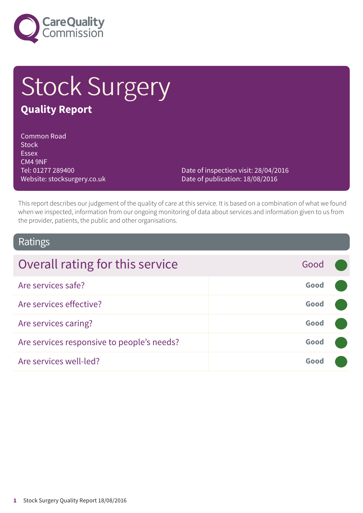

# **Stock Surgery Quality Report**

#### Common Road **Stock** Essex CM4 9NF Tel: 01277 289400 Website: stocksurgery.co.uk

Date of inspection visit: 28/04/2016 Date of publication: 18/08/2016

This report describes our judgement of the quality of care at this service. It is based on a combination of what we found when we inspected, information from our ongoing monitoring of data about services and information given to us from the provider, patients, the public and other organisations.

### Ratings

| Overall rating for this service            | Good |  |
|--------------------------------------------|------|--|
| Are services safe?                         | Good |  |
| Are services effective?                    | Good |  |
| Are services caring?                       | Good |  |
| Are services responsive to people's needs? | Good |  |
| Are services well-led?                     | Good |  |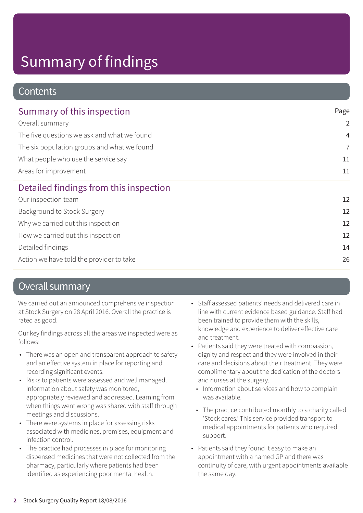### **Contents**

| Summary of this inspection                  | Page           |
|---------------------------------------------|----------------|
| Overall summary                             | $\overline{2}$ |
| The five questions we ask and what we found | $\overline{4}$ |
| The six population groups and what we found | 7              |
| What people who use the service say         | 11             |
| Areas for improvement                       | 11             |
| Detailed findings from this inspection      |                |
| Our inspection team                         | 12             |
| Background to Stock Surgery                 | 12             |
| Why we carried out this inspection          | 12             |
| How we carried out this inspection          | 12             |
| Detailed findings                           | 14             |
| Action we have told the provider to take    | 26             |

### Overall summary

We carried out an announced comprehensive inspection at Stock Surgery on 28 April 2016. Overall the practice is rated as good.

Our key findings across all the areas we inspected were as follows:

- There was an open and transparent approach to safety and an effective system in place for reporting and recording significant events.
- Risks to patients were assessed and well managed. Information about safety was monitored, appropriately reviewed and addressed. Learning from when things went wrong was shared with staff through meetings and discussions.
- There were systems in place for assessing risks associated with medicines, premises, equipment and infection control.
- The practice had processes in place for monitoring dispensed medicines that were not collected from the pharmacy, particularly where patients had been identified as experiencing poor mental health.
- Staff assessed patients' needs and delivered care in line with current evidence based guidance. Staff had been trained to provide them with the skills, knowledge and experience to deliver effective care and treatment.
- Patients said they were treated with compassion, dignity and respect and they were involved in their care and decisions about their treatment. They were complimentary about the dedication of the doctors and nurses at the surgery.
	- Information about services and how to complain was available.
	- The practice contributed monthly to a charity called 'Stock cares.' This service provided transport to medical appointments for patients who required support.
- Patients said they found it easy to make an appointment with a named GP and there was continuity of care, with urgent appointments available the same day.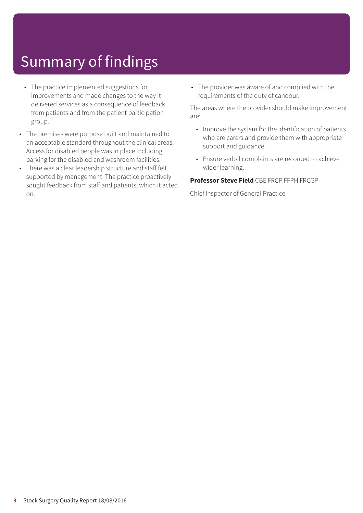- The practice implemented suggestions for improvements and made changes to the way it delivered services as a consequence of feedback from patients and from the patient participation group.
- The premises were purpose built and maintained to an acceptable standard throughout the clinical areas. Access for disabled people was in place including parking for the disabled and washroom facilities.
- There was a clear leadership structure and staff felt supported by management. The practice proactively sought feedback from staff and patients, which it acted on.

• The provider was aware of and complied with the requirements of the duty of candour.

The areas where the provider should make improvement are:

- Improve the system for the identification of patients who are carers and provide them with appropriate support and guidance.
- Ensure verbal complaints are recorded to achieve wider learning.

#### **Professor Steve Field** CBE FRCP FFPH FRCGP

Chief Inspector of General Practice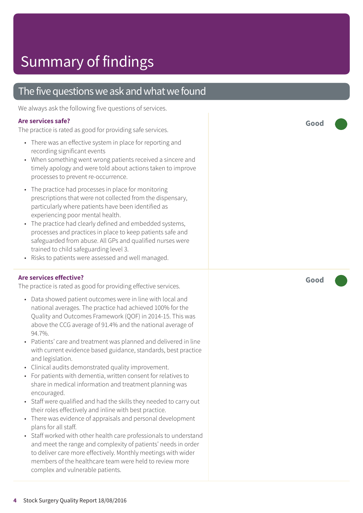### The five questions we ask and what we found

We always ask the following five questions of services.

### **Ar e services safe ?**

The practic e is rated as good for providing saf e services.

- There was an effective system in place for reporting and recording significant events
- When something went wrong patients received a sincere and timely apology and were told about actions taken to improve processes to prevent re-occurrence.
- The practic e had processes in plac e for monitoring prescriptions that wer e not collected from the dispensar y , particularly wher e patients have been identified as experiencing poor mental health.
- The practic e had clearly defined and embedded systems, processes and practices in plac e t o keep patients saf e and saf eguarded from abuse. All GP s and qualified nurses wer e trained t o child saf eguarding level 3.
- Risks t o patients wer e assessed and well managed.

### **Ar e services effective ?**

The practic e is rated as good for providing effective services.

- Dat a showed patient out comes wer e in line with local and national averages. The practic e had achieved 100% for the Quality and Out comes F ramework (QOF) in 2014-15. This was above the C C G averag e of 91.4% and the national averag e of 94.7%.
- Patients' care and treatment was planned and delivered in line with current evidenc e based guidance, standards, best practic e and legislation.
- Clinical audits demonstrated quality improvement.
- For patients with dementia, written consent for relatives to shar e in medical information and tr eatment planning was encouraged.
- Staff were qualified and had the skills they needed to carry out their roles effectively and inline with best practice.
- Ther e was evidenc e of appraisals and personal development plans for all staff.
- Staff worked with other health care professionals to understand and meet the range and complexity of patients' needs in order t o deliver car e mor e effectively. Monthly meetings with wider members of the healthcare team were held to review more complex and vulnerable patients.

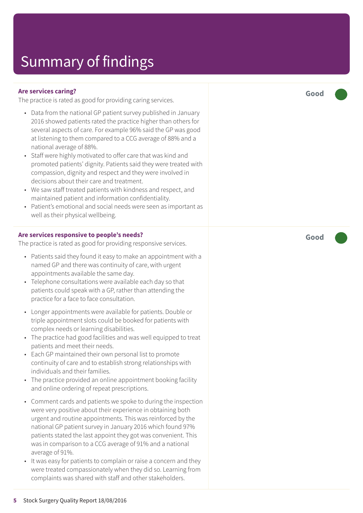#### **Are services caring?**

The practice is rated as good for providing caring services.

- Data from the national GP patient survey published in January 2016 showed patients rated the practice higher than others for several aspects of care. For example 96% said the GP was good at listening to them compared to a CCG average of 88% and a national average of 88%.
- Staff were highly motivated to offer care that was kind and promoted patients' dignity. Patients said they were treated with compassion, dignity and respect and they were involved in decisions about their care and treatment.
- We saw staff treated patients with kindness and respect, and maintained patient and information confidentiality.
- Patient's emotional and social needs were seen as important as well as their physical wellbeing.

#### **Are services responsive to people's needs?**

The practice is rated as good for providing responsive services.

- Patients said they found it easy to make an appointment with a named GP and there was continuity of care, with urgent appointments available the same day.
- Telephone consultations were available each day so that patients could speak with a GP, rather than attending the practice for a face to face consultation.
- Longer appointments were available for patients. Double or triple appointment slots could be booked for patients with complex needs or learning disabilities.
- The practice had good facilities and was well equipped to treat patients and meet their needs.
- Each GP maintained their own personal list to promote continuity of care and to establish strong relationships with individuals and their families.
- The practice provided an online appointment booking facility and online ordering of repeat prescriptions.
- Comment cards and patients we spoke to during the inspection were very positive about their experience in obtaining both urgent and routine appointments. This was reinforced by the national GP patient survey in January 2016 which found 97% patients stated the last appoint they got was convenient. This was in comparison to a CCG average of 91% and a national average of 91%.
- It was easy for patients to complain or raise a concern and they were treated compassionately when they did so. Learning from complaints was shared with staff and other stakeholders.

**Good –––**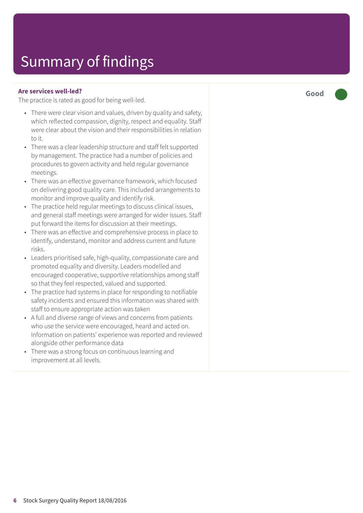#### **Are services well-led?**

The practice is rated as good for being well-led.

- There were clear vision and values, driven by quality and safety, which reflected compassion, dignity, respect and equality. Staff were clear about the vision and their responsibilities in relation to it.
- There was a clear leadership structure and staff felt supported by management. The practice had a number of policies and procedures to govern activity and held regular governance meetings.
- There was an effective governance framework, which focused on delivering good quality care. This included arrangements to monitor and improve quality and identify risk.
- The practice held regular meetings to discuss clinical issues, and general staff meetings were arranged for wider issues. Staff put forward the items for discussion at their meetings.
- There was an effective and comprehensive process in place to identify, understand, monitor and address current and future risks.
- Leaders prioritised safe, high-quality, compassionate care and promoted equality and diversity. Leaders modelled and encouraged cooperative, supportive relationships among staff so that they feel respected, valued and supported.
- The practice had systems in place for responding to notifiable safety incidents and ensured this information was shared with staff to ensure appropriate action was taken
- A full and diverse range of views and concerns from patients who use the service were encouraged, heard and acted on. Information on patients' experience was reported and reviewed alongside other performance data
- There was a strong focus on continuous learning and improvement at all levels.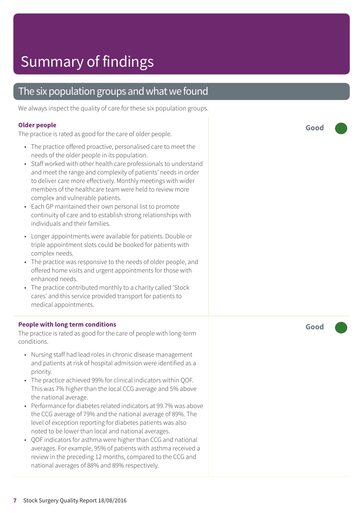### The six population groups and what we found

We always inspect the quality of care for these six population groups.

#### **Older people**

The practice is rated as good for the care of older people.

- The practice offered proactive, personalised care to meet the needs of the older people in its population.
- Staff worked with other health care professionals to understand and meet the range and complexity of patients' needs in order to deliver care more effectively. Monthly meetings with wider members of the healthcare team were held to review more complex and vulnerable patients.
- Each GP maintained their own personal list to promote continuity of care and to establish strong relationships with individuals and their families.
- Longer appointments were available for patients. Double or triple appointment slots could be booked for patients with complex needs.
- The practice was responsive to the needs of older people, and offered home visits and urgent appointments for those with enhanced needs.
- The practice contributed monthly to a charity called 'Stock cares' and this service provided transport for patients to medical appointments.

#### **People with long term conditions**

The practice is rated as good for the care of people with long-term conditions.

- Nursing staff had lead roles in chronic disease management and patients at risk of hospital admission were identified as a priority.
- The practice achieved 99% for clinical indicators within QOF. This was 7% higher than the local CCG average and 5% above the national average.
- Performance for diabetes related indicators at 99.7% was above the CCG average of 79% and the national average of 89%. The level of exception reporting for diabetes patients was also noted to be lower than local and national averages.
- QOF indicators for asthma were higher than CCG and national averages. For example, 95% of patients with asthma received a review in the preceding 12 months, compared to the CCG and national averages of 88% and 89% respectively.

**Good –––**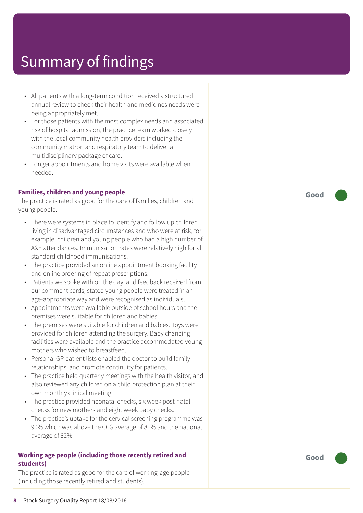- All patients with a long-term condition received a structured annual r evie w t o check their health and medicines needs wer e being appropriately me t.
- For those patients with the most complex needs and associated risk of hospital admission, the practic e t eam worked closely with the local community health provider s including the community matron and respiratory team to deliver a multidisciplinar y packag e of care.
- Longer appointments and home visits wer e available when needed.

#### **Families, children and young people**

The practice is rated as good for the care of families, children and young people.

- There wer e systems in plac e t o identify and follow up children living in disadvantaged circumstances and who wer e at risk , for example, children and young people who had a high number of A&E attendances. Immunisation rates were relatively high for all standar d childhood immunisations.
- The practice provided an online appointment booking facility and online ordering of repeat prescriptions.
- Patients we spoke with on the day, and feedback received from our comment cards, stated young people wer e tr eated in an ag e-appropriat e way and wer e recognised as individuals.
- Appointments wer e available outside of school hour s and the premises wer e suitable for children and babies.
- The premises were suitable for children and babies. Toys were provided for children attending the sur ger y. Baby changing facilities wer e available and the practic e ac commodated young mother s who wished t o br eastfeed.
- Personal GP patient lists enabled the doctor to build family relationships, and promot e continuity for patients.
- The practice held quarterly meetings with the health visitor, and also r eviewed any children on a child protection plan at their own monthly clinical meeting.
- The practic e provided neonatal checks, six week post-natal checks for ne w mother s and eight week baby checks.
- The practice's uptake for the cervical screening programme was 90% which was above the C C G averag e of 81% and the national averag e of 82%.

#### **Working ag e people (including those recently r etired and students)**

The practice is rated as good for the care of working-age people (including those recently retired and students).

**Good –––**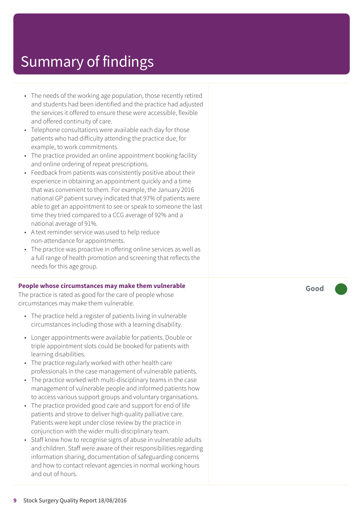- The needs of the working ag e population, those recently r etired and students had been identified and the practic e had adjusted the services it offered t o ensur e these wer e ac cessible, flexible and offered continuity of care.
- Telephone consultations wer e available each day for those patients who had difficulty attending the practic e due, for example, t o work commitments.
- The practice provided an online appointment booking facility and online ordering of repeat prescriptions.
- Feedback from patients was consistently positive about their experienc e in obtaining an appointment quickly and a time that was convenient to them. For example, the January 2016 national GP patient surve y indicated that 97% of patients wer e able to get an appointment to see or speak to someone the last time the y tried compared t o a C C G averag e of 92% and a national averag e of 91%.
- A text reminder service was used to help reduce non-attendanc e for appointments.
- The practice was proactive in offering online services as well as a full rang e of health promotion and screening that reflects the needs for this ag e group.

#### **People whose circumstances may mak e them vulnerable**

The practice is rated as good for the care of people whose circumstances may mak e them vulnerable.

- The practice held a register of patients living in vulnerable circumstances including those with a learning disability.
- Longer appointments were available for patients. Double or triple appointment slots could be booked for patients with learning disabilities.
- The practice regularly worked with other health care professionals in the case management of vulnerable patients.
- The practice worked with multi-disciplinary teams in the case management of vulnerable people and informed patients how t o ac cess various support groups and voluntar y or ganisations.
- The practice provided good care and support for end of life patients and strove t o deliver high quality palliative care. Patients were kept under close review by the practice in conjunction with the wider multi-disciplinar y t eam.
- Staff knew how to recognise signs of abuse in vulnerable adults and children. Staff wer e awar e of their responsibilities r e garding information sharing, documentation of saf eguarding concerns and how to contact relevant agencies in normal working hours and out of hours.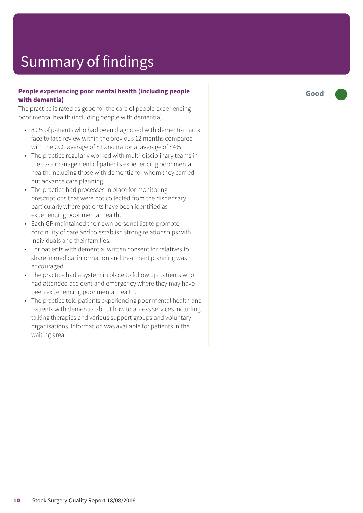#### **People experiencing poor mental health (including people with dementia)**

The practice is rated as good for the care of people experiencing poor mental health (including people with dementia).

- 80% of patients who had been diagnosed with dementia had a face to face review within the previous 12 months compared with the CCG average of 81 and national average of 84%.
- The practice regularly worked with multi-disciplinary teams in the case management of patients experiencing poor mental health, including those with dementia for whom they carried out advance care planning.
- The practice had processes in place for monitoring prescriptions that were not collected from the dispensary, particularly where patients have been identified as experiencing poor mental health.
- Each GP maintained their own personal list to promote continuity of care and to establish strong relationships with individuals and their families.
- For patients with dementia, written consent for relatives to share in medical information and treatment planning was encouraged.
- The practice had a system in place to follow up patients who had attended accident and emergency where they may have been experiencing poor mental health.
- The practice told patients experiencing poor mental health and patients with dementia about how to access services including talking therapies and various support groups and voluntary organisations. Information was available for patients in the waiting area.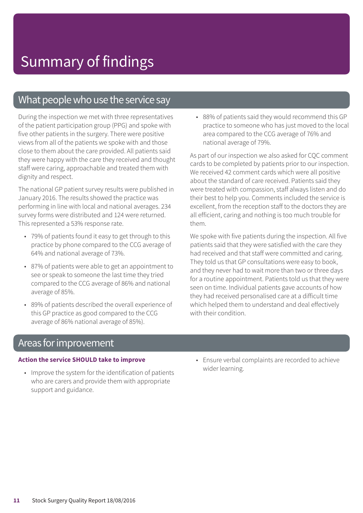### What people who use the service say

During the inspection we met with three representatives of the patient participation group (PPG) and spoke with five other patients in the surgery. There were positive views from all of the patients we spoke with and those close to them about the care provided. All patients said they were happy with the care they received and thought staff were caring, approachable and treated them with dignity and respect.

The national GP patient survey results were published in January 2016. The results showed the practice was performing in line with local and national averages. 234 survey forms were distributed and 124 were returned. This represented a 53% response rate.

- 79% of patients found it easy to get through to this practice by phone compared to the CCG average of 64% and national average of 73%.
- 87% of patients were able to get an appointment to see or speak to someone the last time they tried compared to the CCG average of 86% and national average of 85%.
- 89% of patients described the overall experience of this GP practice as good compared to the CCG average of 86% national average of 85%).

• 88% of patients said they would recommend this GP practice to someone who has just moved to the local area compared to the CCG average of 76% and national average of 79%.

As part of our inspection we also asked for CQC comment cards to be completed by patients prior to our inspection. We received 42 comment cards which were all positive about the standard of care received. Patients said they were treated with compassion, staff always listen and do their best to help you. Comments included the service is excellent, from the reception staff to the doctors they are all efficient, caring and nothing is too much trouble for them.

We spoke with five patients during the inspection. All five patients said that they were satisfied with the care they had received and that staff were committed and caring. They told us that GP consultations were easy to book, and they never had to wait more than two or three days for a routine appointment. Patients told us that they were seen on time. Individual patients gave accounts of how they had received personalised care at a difficult time which helped them to understand and deal effectively with their condition.

### Areas for improvement

#### **Action the service SHOULD take to improve**

- Improve the system for the identification of patients who are carers and provide them with appropriate support and guidance.
- Ensure verbal complaints are recorded to achieve wider learning.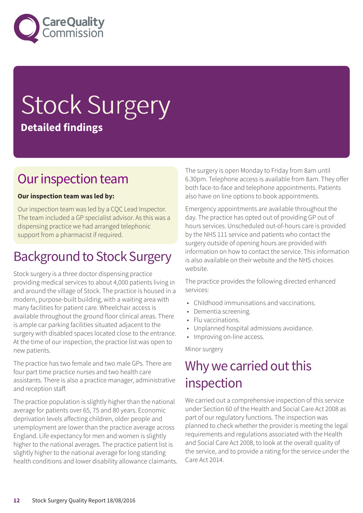

# Stock Surgery **Detailed findings**

### Our inspection team

#### **Our inspection team was led by:**

Our inspection team was led by a CQC Lead Inspector. The team included a GP specialist advisor. As this was a dispensing practice we had arranged telephonic support from a pharmacist if required.

### **Background to Stock Surgery**

Stock surgery is a three doctor dispensing practice providing medical services to about 4,000 patients living in and around the village of Stock. The practice is housed in a modern, purpose-built building, with a waiting area with many facilities for patient care. Wheelchair access is available throughout the ground floor clinical areas. There is ample car parking facilities situated adjacent to the surgery with disabled spaces located close to the entrance. At the time of our inspection, the practice list was open to new patients.

The practice has two female and two male GPs. There are four part time practice nurses and two health care assistants. There is also a practice manager, administrative and reception staff.

The practice population is slightly higher than the national average for patients over 65, 75 and 80 years. Economic deprivation levels affecting children, older people and unemployment are lower than the practice average across England. Life expectancy for men and women is slightly higher to the national averages. The practice patient list is slightly higher to the national average for long standing health conditions and lower disability allowance claimants. The surgery is open Monday to Friday from 8am until 6.30pm. Telephone access is available from 8am. They offer both face-to-face and telephone appointments. Patients also have on line options to book appointments.

Emergency appointments are available throughout the day. The practice has opted out of providing GP out of hours services. Unscheduled out-of-hours care is provided by the NHS 111 service and patients who contact the surgery outside of opening hours are provided with information on how to contact the service. This information is also available on their website and the NHS choices website.

The practice provides the following directed enhanced services:

- Childhood immunisations and vaccinations.
- Dementia screening.
- Flu vaccinations.
- Unplanned hospital admissions avoidance.
- Improving on-line access.

Minor surgery

### Why we carried out this inspection

We carried out a comprehensive inspection of this service under Section 60 of the Health and Social Care Act 2008 as part of our regulatory functions. The inspection was planned to check whether the provider is meeting the legal requirements and regulations associated with the Health and Social Care Act 2008, to look at the overall quality of the service, and to provide a rating for the service under the Care Act 2014.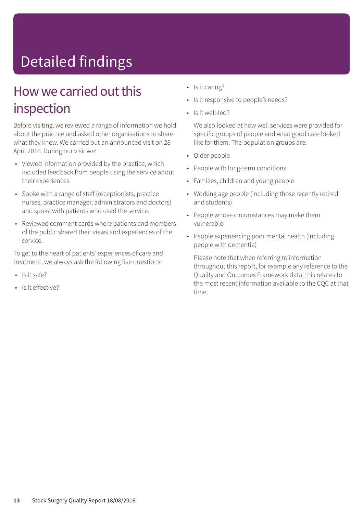## Detailed findings

### How we carried out this inspection

Before visiting, we reviewed a range of information we hold about the practice and asked other organisations to share what they knew. We carried out an announced visit on 28 April 2016. During our visit we:

- Viewed information provided by the practice, which included feedback from people using the service about their experiences.
- Spoke with a range of staff (receptionists, practice nurses, practice manager, administrators and doctors) and spoke with patients who used the service.
- Reviewed comment cards where patients and members of the public shared their views and experiences of the service.

To get to the heart of patients' experiences of care and treatment, we always ask the following five questions:

- Is it safe?
- Is it effective?
- Is it caring?
- Is it responsive to people's needs?
- Is it well-led?

We also looked at how well services were provided for specific groups of people and what good care looked like for them. The population groups are:

- Older people
- People with long-term conditions
- Families, children and young people
- Working age people (including those recently retired and students)
- People whose circumstances may make them vulnerable
- People experiencing poor mental health (including people with dementia)

Please note that when referring to information throughout this report, for example any reference to the Quality and Outcomes Framework data, this relates to the most recent information available to the CQC at that time.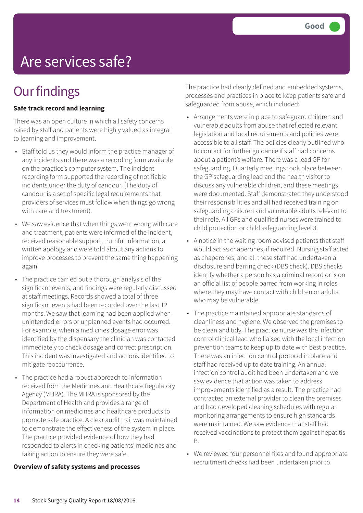## Are services safe?

### **Our findings**

#### **Safe track record and learning**

There was an open culture in which all safety concerns raised by staff and patients were highly valued as integral to learning and improvement.

- Staff told us they would inform the practice manager of any incidents and there was a recording form available on the practice's computer system. The incident recording form supported the recording of notifiable incidents under the duty of candour. (The duty of candour is a set of specific legal requirements that providers of services must follow when things go wrong with care and treatment).
- We saw evidence that when things went wrong with care and treatment, patients were informed of the incident, received reasonable support, truthful information, a written apology and were told about any actions to improve processes to prevent the same thing happening again.
- The practice carried out a thorough analysis of the significant events, and findings were regularly discussed at staff meetings. Records showed a total of three significant events had been recorded over the last 12 months. We saw that learning had been applied when unintended errors or unplanned events had occurred. For example, when a medicines dosage error was identified by the dispensary the clinician was contacted immediately to check dosage and correct prescription. This incident was investigated and actions identified to mitigate reoccurrence.
- The practice had a robust approach to information received from the Medicines and Healthcare Regulatory Agency (MHRA). The MHRA is sponsored by the Department of Health and provides a range of information on medicines and healthcare products to promote safe practice. A clear audit trail was maintained to demonstrate the effectiveness of the system in place. The practice provided evidence of how they had responded to alerts in checking patients' medicines and taking action to ensure they were safe.

#### **Overview of safety systems and processes**

The practice had clearly defined and embedded systems, processes and practices in place to keep patients safe and safeguarded from abuse, which included:

- Arrangements were in place to safeguard children and vulnerable adults from abuse that reflected relevant legislation and local requirements and policies were accessible to all staff. The policies clearly outlined who to contact for further guidance if staff had concerns about a patient's welfare. There was a lead GP for safeguarding. Quarterly meetings took place between the GP safeguarding lead and the health visitor to discuss any vulnerable children, and these meetings were documented. Staff demonstrated they understood their responsibilities and all had received training on safeguarding children and vulnerable adults relevant to their role. All GPs and qualified nurses were trained to child protection or child safeguarding level 3.
- A notice in the waiting room advised patients that staff would act as chaperones, if required. Nursing staff acted as chaperones, and all these staff had undertaken a disclosure and barring check (DBS check). DBS checks identify whether a person has a criminal record or is on an official list of people barred from working in roles where they may have contact with children or adults who may be vulnerable.
- The practice maintained appropriate standards of cleanliness and hygiene. We observed the premises to be clean and tidy. The practice nurse was the infection control clinical lead who liaised with the local infection prevention teams to keep up to date with best practice. There was an infection control protocol in place and staff had received up to date training. An annual infection control audit had been undertaken and we saw evidence that action was taken to address improvements identified as a result. The practice had contracted an external provider to clean the premises and had developed cleaning schedules with regular monitoring arrangements to ensure high standards were maintained. We saw evidence that staff had received vaccinations to protect them against hepatitis B.
- We reviewed four personnel files and found appropriate recruitment checks had been undertaken prior to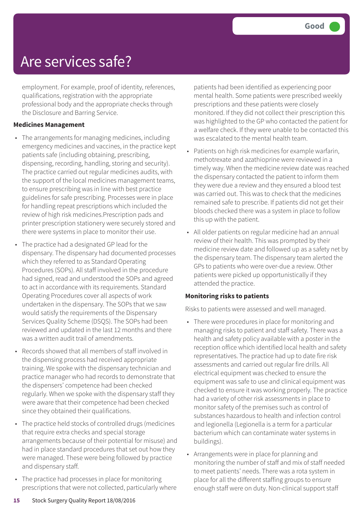### Are services safe?

employment. For example, proof of identity, references, qualifications, registration with the appropriate professional body and the appropriate checks through the Disclosure and Barring Service.

#### **Medicines Management**

- The arrangements for managing medicines, including emergency medicines and vaccines, in the practice kept patients safe (including obtaining, prescribing, dispensing, recording, handling, storing and security). The practice carried out regular medicines audits, with the support of the local medicines management teams, to ensure prescribing was in line with best practice guidelines for safe prescribing. Processes were in place for handling repeat prescriptions which included the review of high risk medicines.Prescription pads and printer prescription stationery were securely stored and there were systems in place to monitor their use.
- The practice had a designated GP lead for the dispensary. The dispensary had documented processes which they referred to as Standard Operating Procedures (SOPs). All staff involved in the procedure had signed, read and understood the SOPs and agreed to act in accordance with its requirements. Standard Operating Procedures cover all aspects of work undertaken in the dispensary. The SOPs that we saw would satisfy the requirements of the Dispensary Services Quality Scheme (DSQS). The SOPs had been reviewed and updated in the last 12 months and there was a written audit trail of amendments.
- Records showed that all members of staff involved in the dispensing process had received appropriate training. We spoke with the dispensary technician and practice manager who had records to demonstrate that the dispensers' competence had been checked regularly. When we spoke with the dispensary staff they were aware that their competence had been checked since they obtained their qualifications.
- The practice held stocks of controlled drugs (medicines that require extra checks and special storage arrangements because of their potential for misuse) and had in place standard procedures that set out how they were managed. These were being followed by practice and dispensary staff.
- The practice had processes in place for monitoring prescriptions that were not collected, particularly where

patients had been identified as experiencing poor mental health. Some patients were prescribed weekly prescriptions and these patients were closely monitored. If they did not collect their prescription this was highlighted to the GP who contacted the patient for a welfare check. If they were unable to be contacted this was escalated to the mental health team.

- Patients on high risk medicines for example warfarin, methotrexate and azathioprine were reviewed in a timely way. When the medicine review date was reached the dispensary contacted the patient to inform them they were due a review and they ensured a blood test was carried out. This was to check that the medicines remained safe to prescribe. If patients did not get their bloods checked there was a system in place to follow this up with the patient.
- All older patients on regular medicine had an annual review of their health. This was prompted by their medicine review date and followed up as a safety net by the dispensary team. The dispensary team alerted the GPs to patients who were over-due a review. Other patients were picked up opportunistically if they attended the practice.

#### **Monitoring risks to patients**

Risks to patients were assessed and well managed.

- There were procedures in place for monitoring and managing risks to patient and staff safety. There was a health and safety policy available with a poster in the reception office which identified local health and safety representatives. The practice had up to date fire risk assessments and carried out regular fire drills. All electrical equipment was checked to ensure the equipment was safe to use and clinical equipment was checked to ensure it was working properly. The practice had a variety of other risk assessments in place to monitor safety of the premises such as control of substances hazardous to health and infection control and legionella (Legionella is a term for a particular bacterium which can contaminate water systems in buildings).
- Arrangements were in place for planning and monitoring the number of staff and mix of staff needed to meet patients' needs. There was a rota system in place for all the different staffing groups to ensure enough staff were on duty. Non-clinical support staff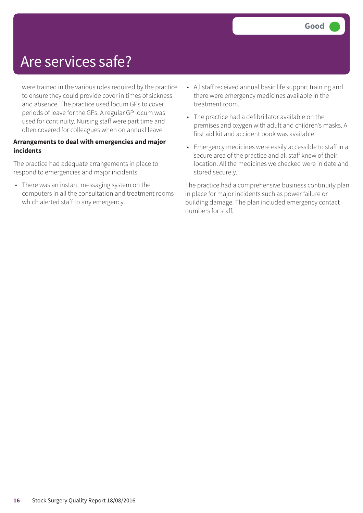### Are services safe?

were trained in the various roles required by the practice to ensure they could provide cover in times of sickness and absence. The practice used locum GPs to cover periods of leave for the GPs. A regular GP locum was used for continuity. Nursing staff were part time and often covered for colleagues when on annual leave.

#### **Arrangements to deal with emergencies and major incidents**

The practice had adequate arrangements in place to respond to emergencies and major incidents.

• There was an instant messaging system on the computers in all the consultation and treatment rooms which alerted staff to any emergency.

- All staff received annual basic life support training and there were emergency medicines available in the treatment room.
- The practice had a defibrillator available on the premises and oxygen with adult and children's masks. A first aid kit and accident book was available.
- Emergency medicines were easily accessible to staff in a secure area of the practice and all staff knew of their location. All the medicines we checked were in date and stored securely.

The practice had a comprehensive business continuity plan in place for major incidents such as power failure or building damage. The plan included emergency contact numbers for staff.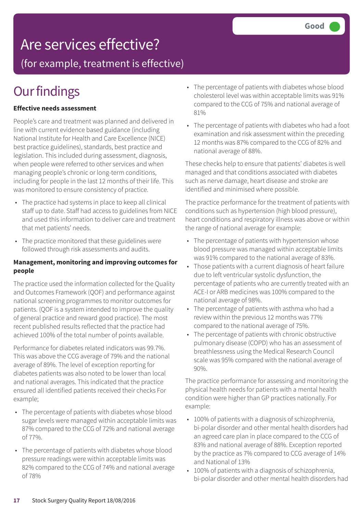### Are services effective?

(for example, treatment is effective)

### **Our findings**

#### **Effective needs assessment**

People's care and treatment was planned and delivered in line with current evidence based guidance (including National Institute for Health and Care Excellence (NICE) best practice guidelines), standards, best practice and legislation. This included during assessment, diagnosis, when people were referred to other services and when managing people's chronic or long-term conditions, including for people in the last 12 months of their life. This was monitored to ensure consistency of practice.

- The practice had systems in place to keep all clinical staff up to date. Staff had access to guidelines from NICE and used this information to deliver care and treatment that met patients' needs.
- The practice monitored that these guidelines were followed through risk assessments and audits.

#### **Management, monitoring and improving outcomes for people**

The practice used the information collected for the Quality and Outcomes Framework (QOF) and performance against national screening programmes to monitor outcomes for patients. (QOF is a system intended to improve the quality of general practice and reward good practice). The most recent published results reflected that the practice had achieved 100% of the total number of points available.

Performance for diabetes related indicators was 99.7%. This was above the CCG average of 79% and the national average of 89%. The level of exception reporting for diabetes patients was also noted to be lower than local and national averages. This indicated that the practice ensured all identified patients received their checks For example;

- The percentage of patients with diabetes whose blood sugar levels were managed within acceptable limits was 87% compared to the CCG of 72% and national average of 77%.
- The percentage of patients with diabetes whose blood pressure readings were within acceptable limits was 82% compared to the CCG of 74% and national average of 78%
- The percentage of patients with diabetes whose blood cholesterol level was within acceptable limits was 91% compared to the CCG of 75% and national average of 81%
- The percentage of patients with diabetes who had a foot examination and risk assessment within the preceding 12 months was 87% compared to the CCG of 82% and national average of 88%.

These checks help to ensure that patients' diabetes is well managed and that conditions associated with diabetes such as nerve damage, heart disease and stroke are identified and minimised where possible.

The practice performance for the treatment of patients with conditions such as hypertension (high blood pressure), heart conditions and respiratory illness was above or within the range of national average for example:

- The percentage of patients with hypertension whose blood pressure was managed within acceptable limits was 91% compared to the national average of 83%.
- Those patients with a current diagnosis of heart failure due to left ventricular systolic dysfunction, the percentage of patients who are currently treated with an ACE-I or ARB medicines was 100% compared to the national average of 98%.
- The percentage of patients with asthma who had a review within the previous 12 months was 77% compared to the national average of 75%.
- The percentage of patients with chronic obstructive pulmonary disease (COPD) who has an assessment of breathlessness using the Medical Research Council scale was 95% compared with the national average of 90%.

The practice performance for assessing and monitoring the physical health needs for patients with a mental health condition were higher than GP practices nationally. For example:

- 100% of patients with a diagnosis of schizophrenia, bi-polar disorder and other mental health disorders had an agreed care plan in place compared to the CCG of 83% and national average of 88%. Exception reported by the practice as 7% compared to CCG average of 14% and National of 13%
- 100% of patients with a diagnosis of schizophrenia, bi-polar disorder and other mental health disorders had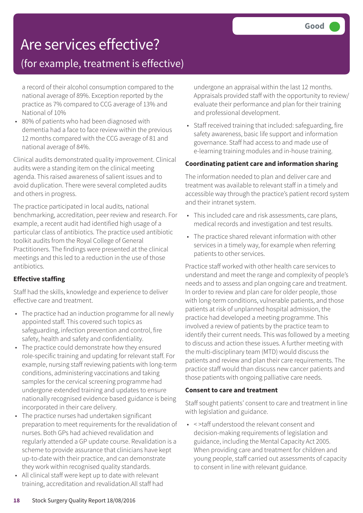### Are services effective?

### (for example, treatment is effective)

a record of their alcohol consumption compared to the national average of 89%. Exception reported by the practice as 7% compared to CCG average of 13% and National of 10%

• 80% of patients who had been diagnosed with dementia had a face to face review within the previous 12 months compared with the CCG average of 81 and national average of 84%.

Clinical audits demonstrated quality improvement. Clinical audits were a standing item on the clinical meeting agenda. This raised awareness of salient issues and to avoid duplication. There were several completed audits and others in progress.

The practice participated in local audits, national benchmarking, accreditation, peer review and research. For example, a recent audit had identified high usage of a particular class of antibiotics. The practice used antibiotic toolkit audits from the Royal College of General Practitioners. The findings were presented at the clinical meetings and this led to a reduction in the use of those antibiotics.

### **Effective staffing**

Staff had the skills, knowledge and experience to deliver effective care and treatment.

- The practice had an induction programme for all newly appointed staff. This covered such topics as safeguarding, infection prevention and control, fire safety, health and safety and confidentiality.
- The practice could demonstrate how they ensured role-specific training and updating for relevant staff. For example, nursing staff reviewing patients with long-term conditions, administering vaccinations and taking samples for the cervical screening programme had undergone extended training and updates to ensure nationally recognised evidence based guidance is being incorporated in their care delivery.
- The practice nurses had undertaken significant preparation to meet requirements for the revalidation of nurses. Both GPs had achieved revalidation and regularly attended a GP update course. Revalidation is a scheme to provide assurance that clinicians have kept up-to-date with their practice, and can demonstrate they work within recognised quality standards.
- All clinical staff were kept up to date with relevant training, accreditation and revalidation.All staff had

undergone an appraisal within the last 12 months. Appraisals provided staff with the opportunity to review/ evaluate their performance and plan for their training and professional development.

• Staff received training that included: safeguarding, fire safety awareness, basic life support and information governance. Staff had access to and made use of e-learning training modules and in-house training.

#### **Coordinating patient care and information sharing**

The information needed to plan and deliver care and treatment was available to relevant staff in a timely and accessible way through the practice's patient record system and their intranet system.

- This included care and risk assessments, care plans, medical records and investigation and test results.
- The practice shared relevant information with other services in a timely way, for example when referring patients to other services.

Practice staff worked with other health care services to understand and meet the range and complexity of people's needs and to assess and plan ongoing care and treatment. In order to review and plan care for older people, those with long-term conditions, vulnerable patients, and those patients at risk of unplanned hospital admission, the practice had developed a meeting programme. This involved a review of patients by the practice team to identify their current needs. This was followed by a meeting to discuss and action these issues. A further meeting with the multi-disciplinary team (MTD) would discuss the patients and review and plan their care requirements. The practice staff would than discuss new cancer patients and those patients with ongoing palliative care needs.

#### **Consent to care and treatment**

Staff sought patients' consent to care and treatment in line with legislation and guidance.

• < >taff understood the relevant consent and decision-making requirements of legislation and guidance, including the Mental Capacity Act 2005. When providing care and treatment for children and young people, staff carried out assessments of capacity to consent in line with relevant guidance.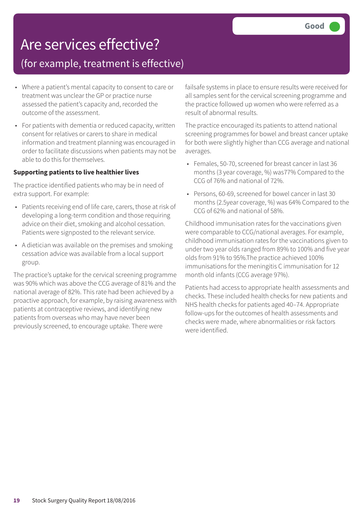### Are services effective?

### (for example, treatment is effective)

- Where a patient's mental capacity to consent to care or treatment was unclear the GP or practice nurse assessed the patient's capacity and, recorded the outcome of the assessment.
- For patients with dementia or reduced capacity, written consent for relatives or carers to share in medical information and treatment planning was encouraged in order to facilitate discussions when patients may not be able to do this for themselves.

#### **Supporting patients to live healthier lives**

The practice identified patients who may be in need of extra support. For example:

- Patients receiving end of life care, carers, those at risk of developing a long-term condition and those requiring advice on their diet, smoking and alcohol cessation. Patients were signposted to the relevant service.
- A dietician was available on the premises and smoking cessation advice was available from a local support group.

The practice's uptake for the cervical screening programme was 90% which was above the CCG average of 81% and the national average of 82%. This rate had been achieved by a proactive approach, for example, by raising awareness with patients at contraceptive reviews, and identifying new patients from overseas who may have never been previously screened, to encourage uptake. There were

failsafe systems in place to ensure results were received for all samples sent for the cervical screening programme and the practice followed up women who were referred as a result of abnormal results.

The practice encouraged its patients to attend national screening programmes for bowel and breast cancer uptake for both were slightly higher than CCG average and national averages.

- Females, 50-70, screened for breast cancer in last 36 months (3 year coverage, %) was77% Compared to the CCG of 76% and national of 72%.
- Persons, 60-69, screened for bowel cancer in last 30 months (2.5year coverage, %) was 64% Compared to the CCG of 62% and national of 58%.

Childhood immunisation rates for the vaccinations given were comparable to CCG/national averages. For example, childhood immunisation rates for the vaccinations given to under two year olds ranged from 89% to 100% and five year olds from 91% to 95%.The practice achieved 100% immunisations for the meningitis C immunisation for 12 month old infants (CCG average 97%).

Patients had access to appropriate health assessments and checks. These included health checks for new patients and NHS health checks for patients aged 40–74. Appropriate follow-ups for the outcomes of health assessments and checks were made, where abnormalities or risk factors were identified.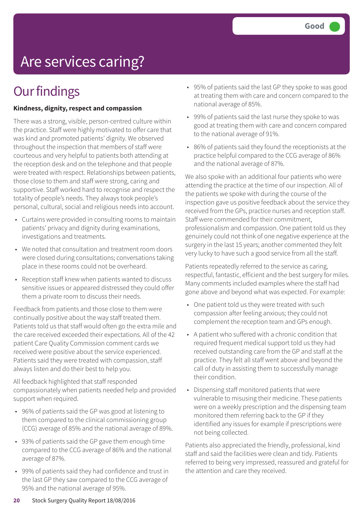## Are services caring?

### **Our findings**

#### **Kindness, dignity, respect and compassion**

There was a strong, visible, person-centred culture within the practice. Staff were highly motivated to offer care that was kind and promoted patients' dignity. We observed throughout the inspection that members of staff were courteous and very helpful to patients both attending at the reception desk and on the telephone and that people were treated with respect. Relationships between patients, those close to them and staff were strong, caring and supportive. Staff worked hard to recognise and respect the totality of people's needs. They always took people's personal, cultural, social and religious needs into account.

- Curtains were provided in consulting rooms to maintain patients' privacy and dignity during examinations, investigations and treatments.
- We noted that consultation and treatment room doors were closed during consultations; conversations taking place in these rooms could not be overheard.
- Reception staff knew when patients wanted to discuss sensitive issues or appeared distressed they could offer them a private room to discuss their needs.

Feedback from patients and those close to them were continually positive about the way staff treated them. Patients told us that staff would often go the extra mile and the care received exceeded their expectations. All of the 42 patient Care Quality Commission comment cards we received were positive about the service experienced. Patients said they were treated with compassion, staff always listen and do their best to help you.

All feedback highlighted that staff responded compassionately when patients needed help and provided support when required.

- 96% of patients said the GP was good at listening to them compared to the clinical commissioning group (CCG) average of 85% and the national average of 89%.
- 93% of patients said the GP gave them enough time compared to the CCG average of 86% and the national average of 87%.
- 99% of patients said they had confidence and trust in the last GP they saw compared to the CCG average of 95% and the national average of 95%.
- 95% of patients said the last GP they spoke to was good at treating them with care and concern compared to the national average of 85%.
- 99% of patients said the last nurse they spoke to was good at treating them with care and concern compared to the national average of 91%.
- 86% of patients said they found the receptionists at the practice helpful compared to the CCG average of 86% and the national average of 87%.

We also spoke with an additional four patients who were attending the practice at the time of our inspection. All of the patients we spoke with during the course of the inspection gave us positive feedback about the service they received from the GPs, practice nurses and reception staff. Staff were commended for their commitment, professionalism and compassion. One patient told us they genuinely could not think of one negative experience at the surgery in the last 15 years; another commented they felt very lucky to have such a good service from all the staff.

Patients repeatedly referred to the service as caring, respectful, fantastic, efficient and the best surgery for miles. Many comments included examples where the staff had gone above and beyond what was expected. For example:

- One patient told us they were treated with such compassion after feeling anxious; they could not complement the reception team and GPs enough.
- A patient who suffered with a chronic condition that required frequent medical support told us they had received outstanding care from the GP and staff at the practice. They felt all staff went above and beyond the call of duty in assisting them to successfully manage their condition.
- Dispensing staff monitored patients that were vulnerable to misusing their medicine. These patients were on a weekly prescription and the dispensing team monitored them referring back to the GP if they identified any issues for example if prescriptions were not being collected.

Patients also appreciated the friendly, professional, kind staff and said the facilities were clean and tidy. Patients referred to being very impressed, reassured and grateful for the attention and care they received.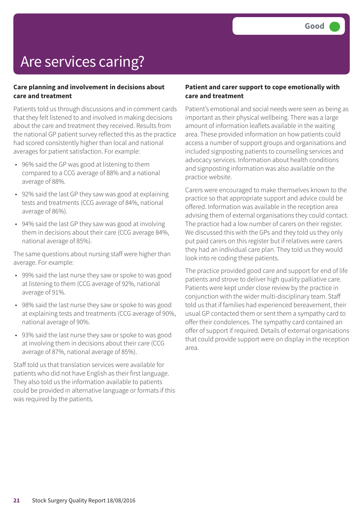## Are services caring?

#### **Care planning and involvement in decisions about care and treatment**

Patients told us through discussions and in comment cards that they felt listened to and involved in making decisions about the care and treatment they received. Results from the national GP patient survey reflected this as the practice had scored consistently higher than local and national averages for patient satisfaction. For example:

- 96% said the GP was good at listening to them compared to a CCG average of 88% and a national average of 88%.
- 92% said the last GP they saw was good at explaining tests and treatments (CCG average of 84%, national average of 86%).
- 94% said the last GP they saw was good at involving them in decisions about their care (CCG average 84%, national average of 85%).

The same questions about nursing staff were higher than average. For example:

- 99% said the last nurse they saw or spoke to was good at listening to them (CCG average of 92%, national average of 91%.
- 98% said the last nurse they saw or spoke to was good at explaining tests and treatments (CCG average of 90%, national average of 90%.
- 93% said the last nurse they saw or spoke to was good at involving them in decisions about their care (CCG average of 87%, national average of 85%).

Staff told us that translation services were available for patients who did not have English as their first language. They also told us the information available to patients could be provided in alternative language or formats if this was required by the patients.

#### **Patient and carer support to cope emotionally with care and treatment**

Patient's emotional and social needs were seen as being as important as their physical wellbeing. There was a large amount of information leaflets available in the waiting area. These provided information on how patients could access a number of support groups and organisations and included signposting patients to counselling services and advocacy services. Information about health conditions and signposting information was also available on the practice website.

Carers were encouraged to make themselves known to the practice so that appropriate support and advice could be offered. Information was available in the reception area advising them of external organisations they could contact. The practice had a low number of carers on their register. We discussed this with the GPs and they told us they only put paid carers on this register but if relatives were carers they had an individual care plan. They told us they would look into re coding these patients.

The practice provided good care and support for end of life patients and strove to deliver high quality palliative care. Patients were kept under close review by the practice in conjunction with the wider multi-disciplinary team. Staff told us that if families had experienced bereavement, their usual GP contacted them or sent them a sympathy card to offer their condolences. The sympathy card contained an offer of support if required. Details of external organisations that could provide support were on display in the reception area.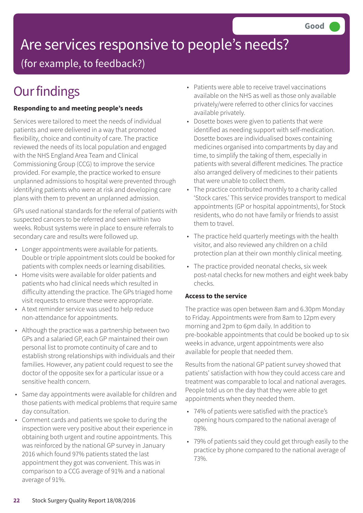# Are services responsive to people's needs?

(for example, to feedback?)

## **Our findings**

### **Responding to and meeting people's needs**

Services were tailored to meet the needs of individual patients and were delivered in a way that promoted flexibility, choice and continuity of care. The practice reviewed the needs of its local population and engaged with the NHS England Area Team and Clinical Commissioning Group (CCG) to improve the service provided. For example, the practice worked to ensure unplanned admissions to hospital were prevented through identifying patients who were at risk and developing care plans with them to prevent an unplanned admission.

GPs used national standards for the referral of patients with suspected cancers to be referred and seen within two weeks. Robust systems were in place to ensure referrals to secondary care and results were followed up.

- Longer appointments were available for patients. Double or triple appointment slots could be booked for patients with complex needs or learning disabilities.
- Home visits were available for older patients and patients who had clinical needs which resulted in difficulty attending the practice. The GPs triaged home visit requests to ensure these were appropriate.
- A text reminder service was used to help reduce non-attendance for appointments.
- Although the practice was a partnership between two GPs and a salaried GP, each GP maintained their own personal list to promote continuity of care and to establish strong relationships with individuals and their families. However, any patient could request to see the doctor of the opposite sex for a particular issue or a sensitive health concern.
- Same day appointments were available for children and those patients with medical problems that require same day consultation.
- Comment cards and patients we spoke to during the inspection were very positive about their experience in obtaining both urgent and routine appointments. This was reinforced by the national GP survey in January 2016 which found 97% patients stated the last appointment they got was convenient. This was in comparison to a CCG average of 91% and a national average of 91%.
- Patients were able to receive travel vaccinations available on the NHS as well as those only available privately/were referred to other clinics for vaccines available privately.
- Dosette boxes were given to patients that were identified as needing support with self-medication. Dosette boxes are individualised boxes containing medicines organised into compartments by day and time, to simplify the taking of them, especially in patients with several different medicines. The practice also arranged delivery of medicines to their patients that were unable to collect them.
- The practice contributed monthly to a charity called 'Stock cares.' This service provides transport to medical appointments (GP or hospital appointments), for Stock residents, who do not have family or friends to assist them to travel.
- The practice held quarterly meetings with the health visitor, and also reviewed any children on a child protection plan at their own monthly clinical meeting.
- The practice provided neonatal checks, six week post-natal checks for new mothers and eight week baby checks.

### **Access to the service**

The practice was open between 8am and 6.30pm Monday to Friday. Appointments were from 8am to 12pm every morning and 2pm to 6pm daily. In addition to pre-bookable appointments that could be booked up to six weeks in advance, urgent appointments were also available for people that needed them.

Results from the national GP patient survey showed that patients' satisfaction with how they could access care and treatment was comparable to local and national averages. People told us on the day that they were able to get appointments when they needed them.

- 74% of patients were satisfied with the practice's opening hours compared to the national average of 78%.
- 79% of patients said they could get through easily to the practice by phone compared to the national average of 73%.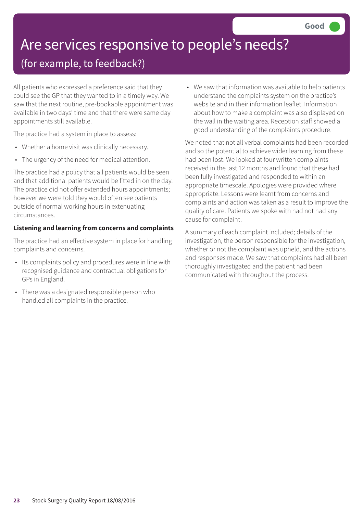## Are services responsive to people's needs?

### (for example, to feedback?)

All patients who expressed a preference said that they could see the GP that they wanted to in a timely way. We saw that the next routine, pre-bookable appointment was available in two days' time and that there were same day appointments still available.

The practice had a system in place to assess:

- Whether a home visit was clinically necessary.
- The urgency of the need for medical attention.

The practice had a policy that all patients would be seen and that additional patients would be fitted in on the day. The practice did not offer extended hours appointments; however we were told they would often see patients outside of normal working hours in extenuating circumstances.

### **Listening and learning from concerns and complaints**

The practice had an effective system in place for handling complaints and concerns.

- Its complaints policy and procedures were in line with recognised guidance and contractual obligations for GPs in England.
- There was a designated responsible person who handled all complaints in the practice.

• We saw that information was available to help patients understand the complaints system on the practice's website and in their information leaflet. Information about how to make a complaint was also displayed on the wall in the waiting area. Reception staff showed a good understanding of the complaints procedure.

We noted that not all verbal complaints had been recorded and so the potential to achieve wider learning from these had been lost. We looked at four written complaints received in the last 12 months and found that these had been fully investigated and responded to within an appropriate timescale. Apologies were provided where appropriate. Lessons were learnt from concerns and complaints and action was taken as a result to improve the quality of care. Patients we spoke with had not had any cause for complaint.

A summary of each complaint included; details of the investigation, the person responsible for the investigation, whether or not the complaint was upheld, and the actions and responses made. We saw that complaints had all been thoroughly investigated and the patient had been communicated with throughout the process.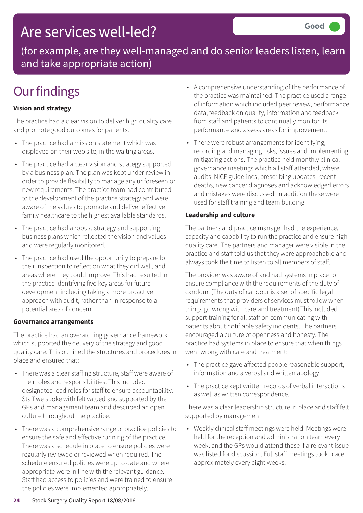### Are services well-led?

(for example, are they well-managed and do senior leaders listen, learn and take appropriate action)

## **Our findings**

### **Vision and strategy**

The practice had a clear vision to deliver high quality care and promote good outcomes for patients.

- The practice had a mission statement which was displayed on their web site, in the waiting areas.
- The practice had a clear vision and strategy supported by a business plan. The plan was kept under review in order to provide flexibility to manage any unforeseen or new requirements. The practice team had contributed to the development of the practice strategy and were aware of the values to promote and deliver effective family healthcare to the highest available standards.
- The practice had a robust strategy and supporting business plans which reflected the vision and values and were regularly monitored.
- The practice had used the opportunity to prepare for their inspection to reflect on what they did well, and areas where they could improve. This had resulted in the practice identifying five key areas for future development including taking a more proactive approach with audit, rather than in response to a potential area of concern.

#### **Governance arrangements**

The practice had an overarching governance framework which supported the delivery of the strategy and good quality care. This outlined the structures and procedures in place and ensured that:

- There was a clear staffing structure, staff were aware of their roles and responsibilities. This included designated lead roles for staff to ensure accountability. Staff we spoke with felt valued and supported by the GPs and management team and described an open culture throughout the practice.
- There was a comprehensive range of practice policies to ensure the safe and effective running of the practice. There was a schedule in place to ensure policies were regularly reviewed or reviewed when required. The schedule ensured policies were up to date and where appropriate were in line with the relevant guidance. Staff had access to policies and were trained to ensure the policies were implemented appropriately.
- A comprehensive understanding of the performance of the practice was maintained. The practice used a range of information which included peer review, performance data, feedback on quality, information and feedback from staff and patients to continually monitor its performance and assess areas for improvement.
- There were robust arrangements for identifying, recording and managing risks, issues and implementing mitigating actions. The practice held monthly clinical governance meetings which all staff attended, where audits, NICE guidelines, prescribing updates, recent deaths, new cancer diagnoses and acknowledged errors and mistakes were discussed. In addition these were used for staff training and team building.

#### **Leadership and culture**

The partners and practice manager had the experience, capacity and capability to run the practice and ensure high quality care. The partners and manager were visible in the practice and staff told us that they were approachable and always took the time to listen to all members of staff.

The provider was aware of and had systems in place to ensure compliance with the requirements of the duty of candour. (The duty of candour is a set of specific legal requirements that providers of services must follow when things go wrong with care and treatment).This included support training for all staff on communicating with patients about notifiable safety incidents. The partners encouraged a culture of openness and honesty. The practice had systems in place to ensure that when things went wrong with care and treatment:

- The practice gave affected people reasonable support, information and a verbal and written apology
- The practice kept written records of verbal interactions as well as written correspondence.

There was a clear leadership structure in place and staff felt supported by management.

• Weekly clinical staff meetings were held. Meetings were held for the reception and administration team every week, and the GPs would attend these if a relevant issue was listed for discussion. Full staff meetings took place approximately every eight weeks.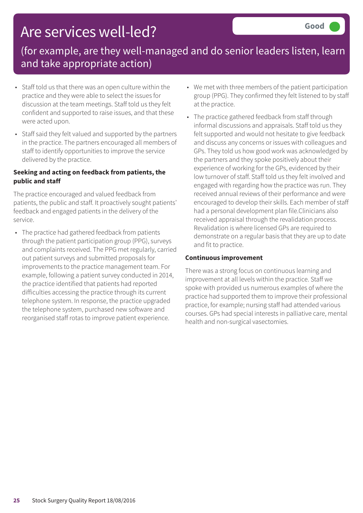### Are services well-led?

### (for example, are they well-managed and do senior leaders listen, learn and take appropriate action)

- Staff told us that there was an open culture within the practice and they were able to select the issues for discussion at the team meetings. Staff told us they felt confident and supported to raise issues, and that these were acted upon.
- Staff said they felt valued and supported by the partners in the practice. The partners encouraged all members of staff to identify opportunities to improve the service delivered by the practice.

#### **Seeking and acting on feedback from patients, the public and staff**

The practice encouraged and valued feedback from patients, the public and staff. It proactively sought patients' feedback and engaged patients in the delivery of the service.

• The practice had gathered feedback from patients through the patient participation group (PPG), surveys and complaints received. The PPG met regularly, carried out patient surveys and submitted proposals for improvements to the practice management team. For example, following a patient survey conducted in 2014, the practice identified that patients had reported difficulties accessing the practice through its current telephone system. In response, the practice upgraded the telephone system, purchased new software and reorganised staff rotas to improve patient experience.

- We met with three members of the patient participation group (PPG). They confirmed they felt listened to by staff at the practice.
- The practice gathered feedback from staff through informal discussions and appraisals. Staff told us they felt supported and would not hesitate to give feedback and discuss any concerns or issues with colleagues and GPs. They told us how good work was acknowledged by the partners and they spoke positively about their experience of working for the GPs, evidenced by their low turnover of staff. Staff told us they felt involved and engaged with regarding how the practice was run. They received annual reviews of their performance and were encouraged to develop their skills. Each member of staff had a personal development plan file.Clinicians also received appraisal through the revalidation process. Revalidation is where licensed GPs are required to demonstrate on a regular basis that they are up to date and fit to practice.

#### **Continuous improvement**

There was a strong focus on continuous learning and improvement at all levels within the practice. Staff we spoke with provided us numerous examples of where the practice had supported them to improve their professional practice, for example; nursing staff had attended various courses. GPs had special interests in palliative care, mental health and non-surgical vasectomies.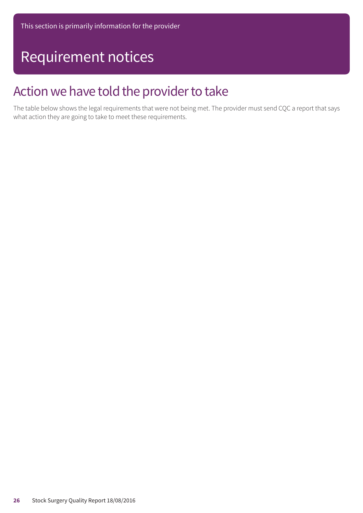### Requirement notices

### Action we have told the provider to take

The table below shows the legal requirements that were not being met. The provider must send CQC a report that says what action they are going to take to meet these requirements.